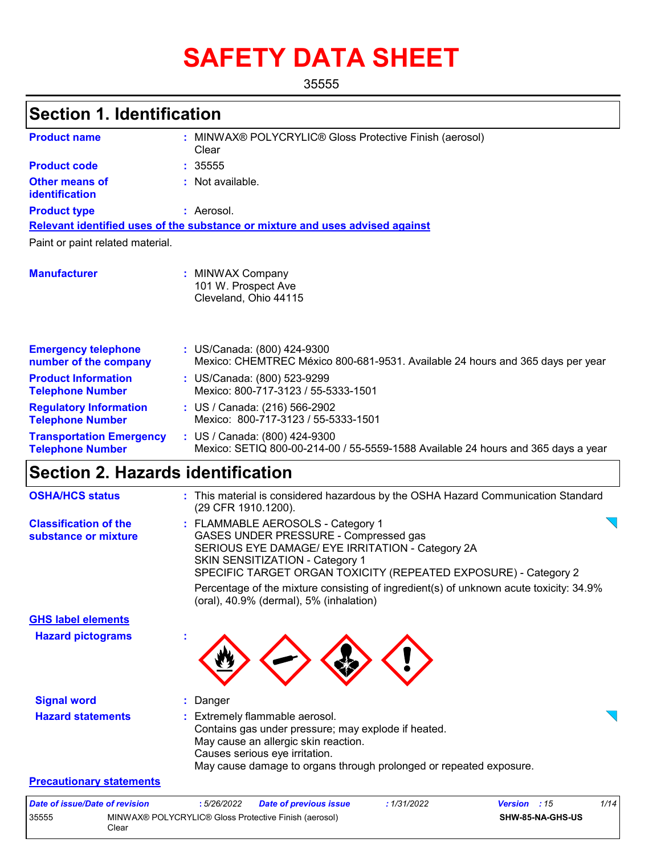# **SAFETY DATA SHEET**

35555

# **Section 1. Identification**

| <b>Product name</b>                                        | : MINWAX® POLYCRYLIC® Gloss Protective Finish (aerosol)<br>Clear                                                   |
|------------------------------------------------------------|--------------------------------------------------------------------------------------------------------------------|
| <b>Product code</b>                                        | : 35555                                                                                                            |
| Other means of<br>identification                           | : Not available.                                                                                                   |
| <b>Product type</b>                                        | : Aerosol.                                                                                                         |
|                                                            | Relevant identified uses of the substance or mixture and uses advised against                                      |
| Paint or paint related material.                           |                                                                                                                    |
| <b>Manufacturer</b>                                        | : MINWAX Company<br>101 W. Prospect Ave<br>Cleveland, Ohio 44115                                                   |
| <b>Emergency telephone</b><br>number of the company        | : US/Canada: (800) 424-9300<br>Mexico: CHEMTREC México 800-681-9531. Available 24 hours and 365 days per year      |
| <b>Product Information</b><br><b>Telephone Number</b>      | : US/Canada: (800) 523-9299<br>Mexico: 800-717-3123 / 55-5333-1501                                                 |
| <b>Regulatory Information</b><br><b>Telephone Number</b>   | : US / Canada: (216) 566-2902<br>Mexico: 800-717-3123 / 55-5333-1501                                               |
| <b>Transportation Emergency</b><br><b>Telephone Number</b> | : US / Canada: (800) 424-9300<br>Mexico: SETIQ 800-00-214-00 / 55-5559-1588 Available 24 hours and 365 days a year |
| Saction 2 Hazarde identification                           |                                                                                                                    |

### **Section 2. Hazards identification**

| <b>OSHA/HCS status</b>                               | : This material is considered hazardous by the OSHA Hazard Communication Standard<br>(29 CFR 1910.1200).                                                                                                                                    |
|------------------------------------------------------|---------------------------------------------------------------------------------------------------------------------------------------------------------------------------------------------------------------------------------------------|
| <b>Classification of the</b><br>substance or mixture | : FLAMMABLE AEROSOLS - Category 1<br>GASES UNDER PRESSURE - Compressed gas<br>SERIOUS EYE DAMAGE/ EYE IRRITATION - Category 2A<br><b>SKIN SENSITIZATION - Category 1</b><br>SPECIFIC TARGET ORGAN TOXICITY (REPEATED EXPOSURE) - Category 2 |
|                                                      | Percentage of the mixture consisting of ingredient(s) of unknown acute toxicity: 34.9%<br>(oral), 40.9% (dermal), 5% (inhalation)                                                                                                           |
| <b>GHS label elements</b>                            |                                                                                                                                                                                                                                             |
| <b>Hazard pictograms</b>                             |                                                                                                                                                                                                                                             |
| <b>Signal word</b>                                   | Danger                                                                                                                                                                                                                                      |
| <b>Hazard statements</b>                             | Extremely flammable aerosol.<br>Contains gas under pressure; may explode if heated.<br>May cause an allergic skin reaction.<br>Causes serious eye irritation.<br>May cause damage to organs through prolonged or repeated exposure.         |
| <b>Precautionary statements</b>                      |                                                                                                                                                                                                                                             |
| Data of issue/Data of revision                       | $1/11$<br>• 5/26/2022<br>Dato of province issue<br>.1/21/2002<br>Vareion<br>.15                                                                                                                                                             |

| Date of issue/Date of revision |                                                                | : 5/26/2022 | Date of previous issue | : 1/31/2022 | <b>Version</b> : 15 |                  | 1/14 |
|--------------------------------|----------------------------------------------------------------|-------------|------------------------|-------------|---------------------|------------------|------|
| 35555                          | MINWAX® POLYCRYLIC® Gloss Protective Finish (aerosol)<br>Clear |             |                        |             |                     | SHW-85-NA-GHS-US |      |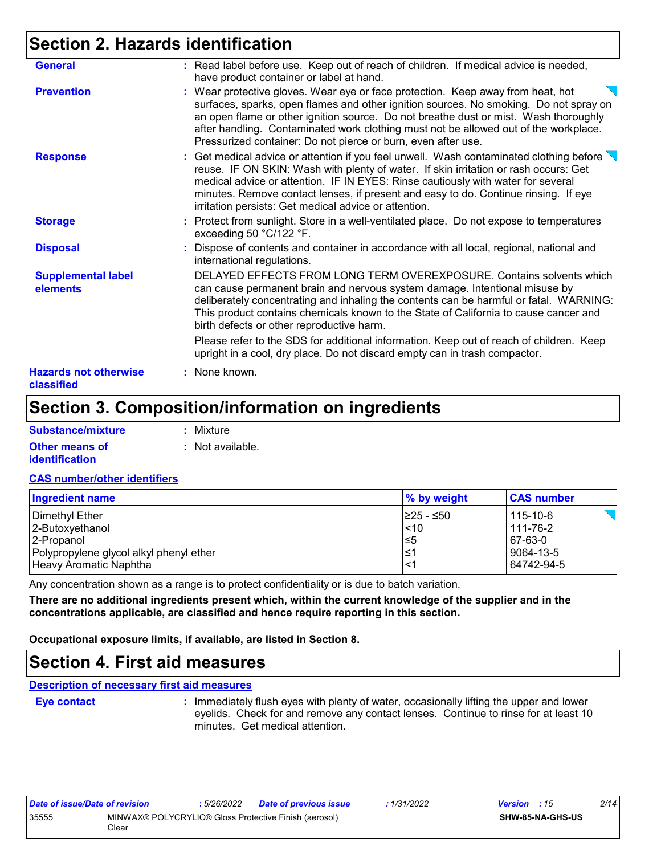# **Section 2. Hazards identification**

| <b>Hazards not otherwise</b><br>classified | : None known.                                                                                                                                                                                                                                                                                                                                                                                                                   |
|--------------------------------------------|---------------------------------------------------------------------------------------------------------------------------------------------------------------------------------------------------------------------------------------------------------------------------------------------------------------------------------------------------------------------------------------------------------------------------------|
|                                            | Please refer to the SDS for additional information. Keep out of reach of children. Keep<br>upright in a cool, dry place. Do not discard empty can in trash compactor.                                                                                                                                                                                                                                                           |
| <b>Supplemental label</b><br>elements      | DELAYED EFFECTS FROM LONG TERM OVEREXPOSURE. Contains solvents which<br>can cause permanent brain and nervous system damage. Intentional misuse by<br>deliberately concentrating and inhaling the contents can be harmful or fatal. WARNING:<br>This product contains chemicals known to the State of California to cause cancer and<br>birth defects or other reproductive harm.                                               |
| <b>Disposal</b>                            | : Dispose of contents and container in accordance with all local, regional, national and<br>international regulations.                                                                                                                                                                                                                                                                                                          |
| <b>Storage</b>                             | : Protect from sunlight. Store in a well-ventilated place. Do not expose to temperatures<br>exceeding 50 °C/122 °F.                                                                                                                                                                                                                                                                                                             |
| <b>Response</b>                            | : Get medical advice or attention if you feel unwell. Wash contaminated clothing before $\setminus$<br>reuse. IF ON SKIN: Wash with plenty of water. If skin irritation or rash occurs: Get<br>medical advice or attention. IF IN EYES: Rinse cautiously with water for several<br>minutes. Remove contact lenses, if present and easy to do. Continue rinsing. If eye<br>irritation persists: Get medical advice or attention. |
| <b>Prevention</b>                          | : Wear protective gloves. Wear eye or face protection. Keep away from heat, hot<br>surfaces, sparks, open flames and other ignition sources. No smoking. Do not spray on<br>an open flame or other ignition source. Do not breathe dust or mist. Wash thoroughly<br>after handling. Contaminated work clothing must not be allowed out of the workplace.<br>Pressurized container: Do not pierce or burn, even after use.       |
| <b>General</b>                             | : Read label before use. Keep out of reach of children. If medical advice is needed,<br>have product container or label at hand.                                                                                                                                                                                                                                                                                                |

# **Section 3. Composition/information on ingredients**

| Substance/mixture     | : Mixture        |
|-----------------------|------------------|
| <b>Other means of</b> | : Not available. |
| <b>identification</b> |                  |

#### **CAS number/other identifiers**

| Ingredient name                         | % by weight | <b>CAS number</b> |
|-----------------------------------------|-------------|-------------------|
| Dimethyl Ether                          | I≥25 - ≤50  | 115-10-6          |
| 2-Butoxyethanol                         | 110         | 111-76-2          |
| 2-Propanol                              | 5≥ا         | 67-63-0           |
| Polypropylene glycol alkyl phenyl ether | l≤1         | 9064-13-5         |
| Heavy Aromatic Naphtha                  | $\leq$ 1    | 64742-94-5        |

Any concentration shown as a range is to protect confidentiality or is due to batch variation.

**There are no additional ingredients present which, within the current knowledge of the supplier and in the concentrations applicable, are classified and hence require reporting in this section.**

**Occupational exposure limits, if available, are listed in Section 8.**

### **Section 4. First aid measures**

**Description of necessary first aid measures**

**Eye contact :**

: Immediately flush eyes with plenty of water, occasionally lifting the upper and lower eyelids. Check for and remove any contact lenses. Continue to rinse for at least 10 minutes. Get medical attention.

| Date of issue/Date of revision |                                                                | : 5/26/2022 | <b>Date of previous issue</b> | : 1/31/2022 | <b>Version</b> : 15 |                         | 2/14 |
|--------------------------------|----------------------------------------------------------------|-------------|-------------------------------|-------------|---------------------|-------------------------|------|
| 35555                          | MINWAX® POLYCRYLIC® Gloss Protective Finish (aerosol)<br>Clear |             |                               |             |                     | <b>SHW-85-NA-GHS-US</b> |      |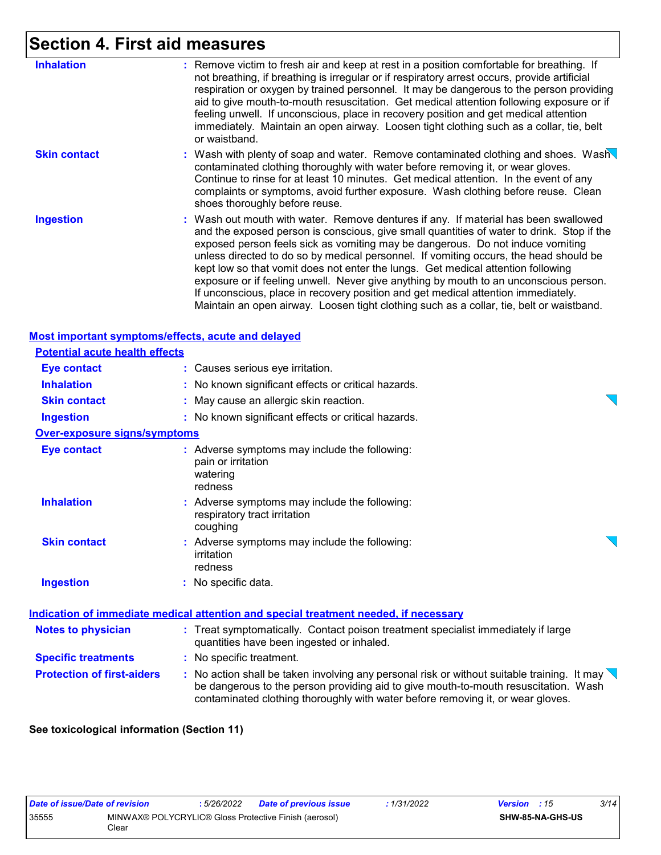# **Section 4. First aid measures**

| <b>Inhalation</b>   | : Remove victim to fresh air and keep at rest in a position comfortable for breathing. If<br>not breathing, if breathing is irregular or if respiratory arrest occurs, provide artificial<br>respiration or oxygen by trained personnel. It may be dangerous to the person providing<br>aid to give mouth-to-mouth resuscitation. Get medical attention following exposure or if<br>feeling unwell. If unconscious, place in recovery position and get medical attention<br>immediately. Maintain an open airway. Loosen tight clothing such as a collar, tie, belt<br>or waistband.                                                                                                                                      |
|---------------------|---------------------------------------------------------------------------------------------------------------------------------------------------------------------------------------------------------------------------------------------------------------------------------------------------------------------------------------------------------------------------------------------------------------------------------------------------------------------------------------------------------------------------------------------------------------------------------------------------------------------------------------------------------------------------------------------------------------------------|
| <b>Skin contact</b> | : Wash with plenty of soap and water. Remove contaminated clothing and shoes. Wash<br>contaminated clothing thoroughly with water before removing it, or wear gloves.<br>Continue to rinse for at least 10 minutes. Get medical attention. In the event of any<br>complaints or symptoms, avoid further exposure. Wash clothing before reuse. Clean<br>shoes thoroughly before reuse.                                                                                                                                                                                                                                                                                                                                     |
| <b>Ingestion</b>    | : Wash out mouth with water. Remove dentures if any. If material has been swallowed<br>and the exposed person is conscious, give small quantities of water to drink. Stop if the<br>exposed person feels sick as vomiting may be dangerous. Do not induce vomiting<br>unless directed to do so by medical personnel. If vomiting occurs, the head should be<br>kept low so that vomit does not enter the lungs. Get medical attention following<br>exposure or if feeling unwell. Never give anything by mouth to an unconscious person.<br>If unconscious, place in recovery position and get medical attention immediately.<br>Maintain an open airway. Loosen tight clothing such as a collar, tie, belt or waistband. |

### **Most important symptoms/effects, acute and delayed**

| <b>Potential acute health effects</b> |                                                                                                                                                                                                                                                                       |  |
|---------------------------------------|-----------------------------------------------------------------------------------------------------------------------------------------------------------------------------------------------------------------------------------------------------------------------|--|
| Eye contact                           | : Causes serious eye irritation.                                                                                                                                                                                                                                      |  |
| <b>Inhalation</b>                     | : No known significant effects or critical hazards.                                                                                                                                                                                                                   |  |
| <b>Skin contact</b>                   | : May cause an allergic skin reaction.                                                                                                                                                                                                                                |  |
| <b>Ingestion</b>                      | : No known significant effects or critical hazards.                                                                                                                                                                                                                   |  |
| <b>Over-exposure signs/symptoms</b>   |                                                                                                                                                                                                                                                                       |  |
| <b>Eye contact</b>                    | : Adverse symptoms may include the following:<br>pain or irritation<br>watering<br>redness                                                                                                                                                                            |  |
| <b>Inhalation</b>                     | : Adverse symptoms may include the following:<br>respiratory tract irritation<br>coughing                                                                                                                                                                             |  |
| <b>Skin contact</b>                   | : Adverse symptoms may include the following:<br>irritation<br>redness                                                                                                                                                                                                |  |
| <b>Ingestion</b>                      | : No specific data.                                                                                                                                                                                                                                                   |  |
|                                       | Indication of immediate medical attention and special treatment needed, if necessary                                                                                                                                                                                  |  |
| <b>Notes to physician</b>             | : Treat symptomatically. Contact poison treatment specialist immediately if large<br>quantities have been ingested or inhaled.                                                                                                                                        |  |
| <b>Specific treatments</b>            | : No specific treatment.                                                                                                                                                                                                                                              |  |
| <b>Protection of first-aiders</b>     | : No action shall be taken involving any personal risk or without suitable training. It may<br>be dangerous to the person providing aid to give mouth-to-mouth resuscitation. Wash<br>contaminated clothing thoroughly with water before removing it, or wear gloves. |  |

### **See toxicological information (Section 11)**

| Date of issue/Date of revision |                                                                | : 5/26/2022 | <b>Date of previous issue</b> | : 1/31/2022 | <b>Version</b> : 15 |                  | 3/14 |
|--------------------------------|----------------------------------------------------------------|-------------|-------------------------------|-------------|---------------------|------------------|------|
| 35555                          | MINWAX® POLYCRYLIC® Gloss Protective Finish (aerosol)<br>Clear |             |                               |             |                     | SHW-85-NA-GHS-US |      |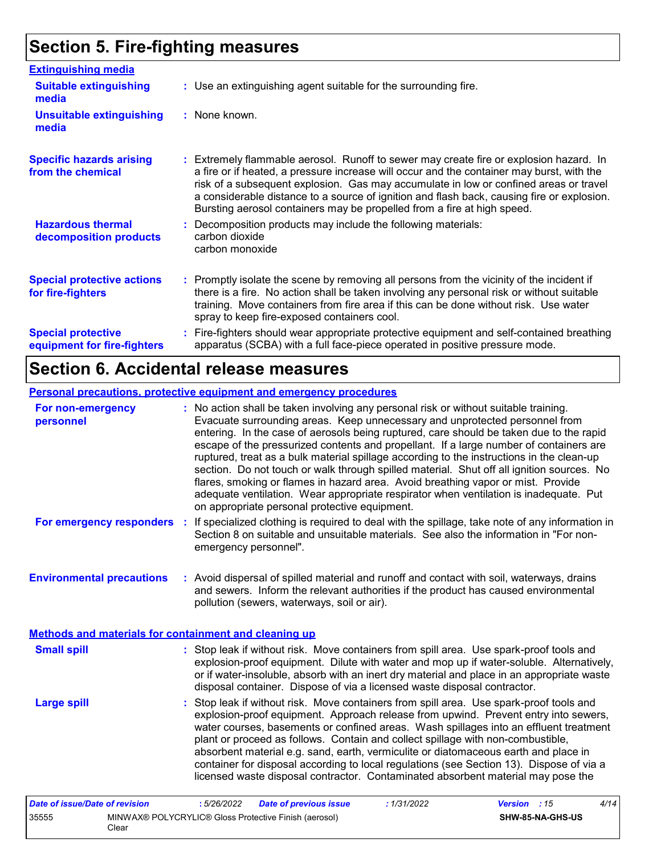# **Section 5. Fire-fighting measures**

| <b>Extinguishing media</b>                               |                                                                                                                                                                                                                                                                                                                                                                                                                                                       |
|----------------------------------------------------------|-------------------------------------------------------------------------------------------------------------------------------------------------------------------------------------------------------------------------------------------------------------------------------------------------------------------------------------------------------------------------------------------------------------------------------------------------------|
| <b>Suitable extinguishing</b><br>media                   | : Use an extinguishing agent suitable for the surrounding fire.                                                                                                                                                                                                                                                                                                                                                                                       |
| <b>Unsuitable extinguishing</b><br>media                 | : None known.                                                                                                                                                                                                                                                                                                                                                                                                                                         |
| <b>Specific hazards arising</b><br>from the chemical     | : Extremely flammable aerosol. Runoff to sewer may create fire or explosion hazard. In<br>a fire or if heated, a pressure increase will occur and the container may burst, with the<br>risk of a subsequent explosion. Gas may accumulate in low or confined areas or travel<br>a considerable distance to a source of ignition and flash back, causing fire or explosion.<br>Bursting aerosol containers may be propelled from a fire at high speed. |
| <b>Hazardous thermal</b><br>decomposition products       | Decomposition products may include the following materials:<br>carbon dioxide<br>carbon monoxide                                                                                                                                                                                                                                                                                                                                                      |
| <b>Special protective actions</b><br>for fire-fighters   | : Promptly isolate the scene by removing all persons from the vicinity of the incident if<br>there is a fire. No action shall be taken involving any personal risk or without suitable<br>training. Move containers from fire area if this can be done without risk. Use water<br>spray to keep fire-exposed containers cool.                                                                                                                         |
| <b>Special protective</b><br>equipment for fire-fighters | Fire-fighters should wear appropriate protective equipment and self-contained breathing<br>apparatus (SCBA) with a full face-piece operated in positive pressure mode.                                                                                                                                                                                                                                                                                |

# **Section 6. Accidental release measures**

### **Personal precautions, protective equipment and emergency procedures**

| For non-emergency<br>personnel                        |    | : No action shall be taken involving any personal risk or without suitable training.<br>Evacuate surrounding areas. Keep unnecessary and unprotected personnel from<br>entering. In the case of aerosols being ruptured, care should be taken due to the rapid<br>escape of the pressurized contents and propellant. If a large number of containers are<br>ruptured, treat as a bulk material spillage according to the instructions in the clean-up<br>section. Do not touch or walk through spilled material. Shut off all ignition sources. No<br>flares, smoking or flames in hazard area. Avoid breathing vapor or mist. Provide<br>adequate ventilation. Wear appropriate respirator when ventilation is inadequate. Put<br>on appropriate personal protective equipment. |
|-------------------------------------------------------|----|----------------------------------------------------------------------------------------------------------------------------------------------------------------------------------------------------------------------------------------------------------------------------------------------------------------------------------------------------------------------------------------------------------------------------------------------------------------------------------------------------------------------------------------------------------------------------------------------------------------------------------------------------------------------------------------------------------------------------------------------------------------------------------|
| For emergency responders                              | ÷. | If specialized clothing is required to deal with the spillage, take note of any information in<br>Section 8 on suitable and unsuitable materials. See also the information in "For non-<br>emergency personnel".                                                                                                                                                                                                                                                                                                                                                                                                                                                                                                                                                                 |
| <b>Environmental precautions</b>                      |    | : Avoid dispersal of spilled material and runoff and contact with soil, waterways, drains<br>and sewers. Inform the relevant authorities if the product has caused environmental<br>pollution (sewers, waterways, soil or air).                                                                                                                                                                                                                                                                                                                                                                                                                                                                                                                                                  |
| Methods and materials for containment and cleaning up |    |                                                                                                                                                                                                                                                                                                                                                                                                                                                                                                                                                                                                                                                                                                                                                                                  |
| <b>Small spill</b>                                    |    | : Stop leak if without risk. Move containers from spill area. Use spark-proof tools and<br>explosion-proof equipment. Dilute with water and mop up if water-soluble. Alternatively,<br>or if water-insoluble, absorb with an inert dry material and place in an appropriate waste<br>disposal container. Dispose of via a licensed waste disposal contractor.                                                                                                                                                                                                                                                                                                                                                                                                                    |
| <b>Large spill</b>                                    |    | Stop leak if without risk. Move containers from spill area. Use spark-proof tools and<br>explosion-proof equipment. Approach release from upwind. Prevent entry into sewers,<br>water courses, basements or confined areas. Wash spillages into an effluent treatment<br>plant or proceed as follows. Contain and collect spillage with non-combustible,<br>absorbent material e.g. sand, earth, vermiculite or diatomaceous earth and place in<br>container for disposal according to local regulations (see Section 13). Dispose of via a<br>licensed waste disposal contractor. Contaminated absorbent material may pose the                                                                                                                                                  |

| Date of issue/Date of revision |                                                                | 5/26/2022 | <b>Date of previous issue</b> | : 1/31/2022 | <b>Version</b> : 15 |                  | 4/14 |
|--------------------------------|----------------------------------------------------------------|-----------|-------------------------------|-------------|---------------------|------------------|------|
| 35555                          | MINWAX® POLYCRYLIC® Gloss Protective Finish (aerosol)<br>Clear |           |                               |             |                     | SHW-85-NA-GHS-US |      |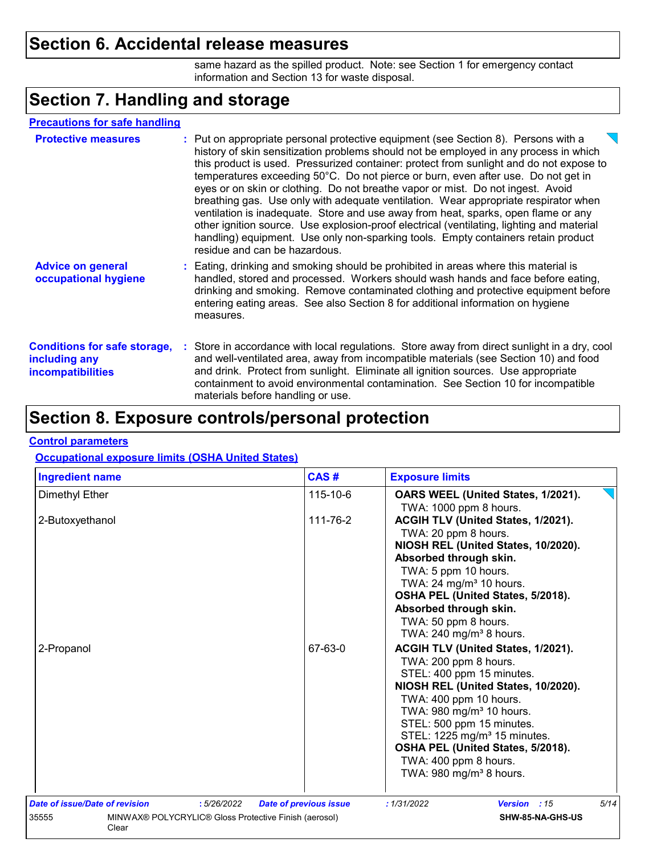### **Section 6. Accidental release measures**

same hazard as the spilled product. Note: see Section 1 for emergency contact information and Section 13 for waste disposal.

# **Section 7. Handling and storage**

| <b>Precautions for safe handling</b>                                             |                                                                                                                                                                                                                                                                                                                                                                                                                                                                                                                                                                                                                                                                                                                                                                                                                                                |
|----------------------------------------------------------------------------------|------------------------------------------------------------------------------------------------------------------------------------------------------------------------------------------------------------------------------------------------------------------------------------------------------------------------------------------------------------------------------------------------------------------------------------------------------------------------------------------------------------------------------------------------------------------------------------------------------------------------------------------------------------------------------------------------------------------------------------------------------------------------------------------------------------------------------------------------|
| <b>Protective measures</b>                                                       | : Put on appropriate personal protective equipment (see Section 8). Persons with a<br>history of skin sensitization problems should not be employed in any process in which<br>this product is used. Pressurized container: protect from sunlight and do not expose to<br>temperatures exceeding 50°C. Do not pierce or burn, even after use. Do not get in<br>eyes or on skin or clothing. Do not breathe vapor or mist. Do not ingest. Avoid<br>breathing gas. Use only with adequate ventilation. Wear appropriate respirator when<br>ventilation is inadequate. Store and use away from heat, sparks, open flame or any<br>other ignition source. Use explosion-proof electrical (ventilating, lighting and material<br>handling) equipment. Use only non-sparking tools. Empty containers retain product<br>residue and can be hazardous. |
| <b>Advice on general</b><br>occupational hygiene                                 | : Eating, drinking and smoking should be prohibited in areas where this material is<br>handled, stored and processed. Workers should wash hands and face before eating,<br>drinking and smoking. Remove contaminated clothing and protective equipment before<br>entering eating areas. See also Section 8 for additional information on hygiene<br>measures.                                                                                                                                                                                                                                                                                                                                                                                                                                                                                  |
| <b>Conditions for safe storage,</b><br>including any<br><b>incompatibilities</b> | : Store in accordance with local regulations. Store away from direct sunlight in a dry, cool<br>and well-ventilated area, away from incompatible materials (see Section 10) and food<br>and drink. Protect from sunlight. Eliminate all ignition sources. Use appropriate<br>containment to avoid environmental contamination. See Section 10 for incompatible<br>materials before handling or use.                                                                                                                                                                                                                                                                                                                                                                                                                                            |

## **Section 8. Exposure controls/personal protection**

### **Control parameters**

### **Occupational exposure limits (OSHA United States)**

| <b>Ingredient name</b>         | CAS#                                                  | <b>Exposure limits</b>                                                |
|--------------------------------|-------------------------------------------------------|-----------------------------------------------------------------------|
| Dimethyl Ether                 | 115-10-6                                              | OARS WEEL (United States, 1/2021).                                    |
| 2-Butoxyethanol                | 111-76-2                                              | TWA: 1000 ppm 8 hours.<br>ACGIH TLV (United States, 1/2021).          |
|                                |                                                       | TWA: 20 ppm 8 hours.                                                  |
|                                |                                                       | NIOSH REL (United States, 10/2020).                                   |
|                                |                                                       | Absorbed through skin.                                                |
|                                |                                                       | TWA: 5 ppm 10 hours.                                                  |
|                                |                                                       | TWA: 24 mg/m <sup>3</sup> 10 hours.                                   |
|                                |                                                       | OSHA PEL (United States, 5/2018).                                     |
|                                |                                                       | Absorbed through skin.                                                |
|                                |                                                       | TWA: 50 ppm 8 hours.                                                  |
|                                |                                                       | TWA: $240$ mg/m <sup>3</sup> 8 hours.                                 |
| 2-Propanol                     | 67-63-0                                               | ACGIH TLV (United States, 1/2021).                                    |
|                                |                                                       | TWA: 200 ppm 8 hours.                                                 |
|                                |                                                       | STEL: 400 ppm 15 minutes.                                             |
|                                |                                                       | NIOSH REL (United States, 10/2020).                                   |
|                                |                                                       | TWA: 400 ppm 10 hours.                                                |
|                                |                                                       | TWA: 980 mg/m <sup>3</sup> 10 hours.                                  |
|                                |                                                       | STEL: 500 ppm 15 minutes.<br>STEL: 1225 mg/m <sup>3</sup> 15 minutes. |
|                                |                                                       | OSHA PEL (United States, 5/2018).                                     |
|                                |                                                       | TWA: 400 ppm 8 hours.                                                 |
|                                |                                                       | TWA: 980 mg/m <sup>3</sup> 8 hours.                                   |
|                                |                                                       |                                                                       |
| Date of issue/Date of revision | :5/26/2022<br><b>Date of previous issue</b>           | : 1/31/2022<br>5/14<br>Version : 15                                   |
| 35555<br>Clear                 | MINWAX® POLYCRYLIC® Gloss Protective Finish (aerosol) | SHW-85-NA-GHS-US                                                      |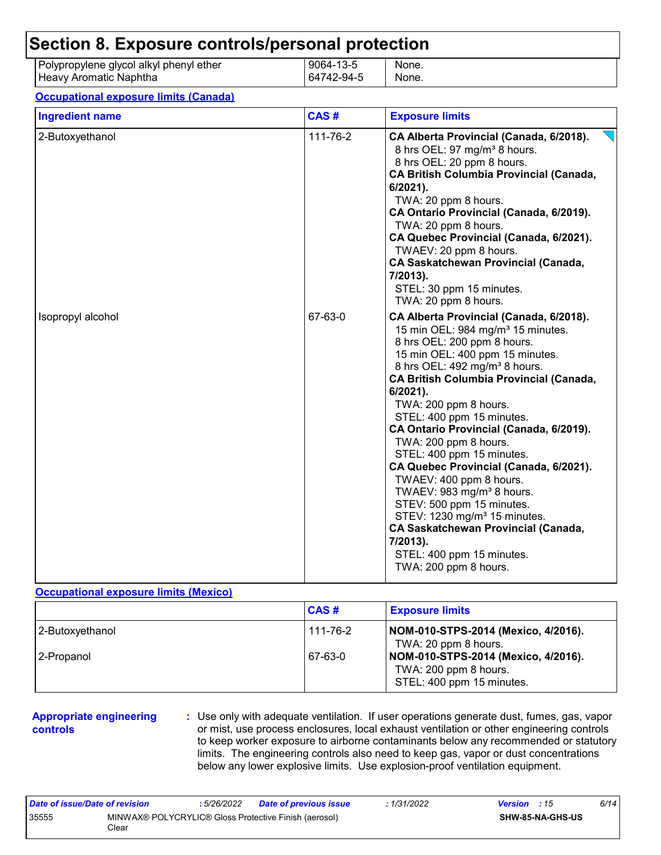|                        | Section 8. Exposure controls/personal protection |                         |                |
|------------------------|--------------------------------------------------|-------------------------|----------------|
| Heavy Aromatic Naphtha | Polypropylene glycol alkyl phenyl ether          | 9064-13-5<br>64742-94-5 | None.<br>None. |

#### **Occupational exposure limits (Canada)**

| <b>Ingredient name</b> | CAS#     | <b>Exposure limits</b>                                                                                                                                                                                                                                                                                                                                                                                                                                                                                                                                                                                                                                                                                                              |
|------------------------|----------|-------------------------------------------------------------------------------------------------------------------------------------------------------------------------------------------------------------------------------------------------------------------------------------------------------------------------------------------------------------------------------------------------------------------------------------------------------------------------------------------------------------------------------------------------------------------------------------------------------------------------------------------------------------------------------------------------------------------------------------|
| 2-Butoxyethanol        | 111-76-2 | CA Alberta Provincial (Canada, 6/2018).<br>8 hrs OEL: 97 mg/m <sup>3</sup> 8 hours.<br>8 hrs OEL: 20 ppm 8 hours.<br><b>CA British Columbia Provincial (Canada,</b><br>6/2021).<br>TWA: 20 ppm 8 hours.<br>CA Ontario Provincial (Canada, 6/2019).<br>TWA: 20 ppm 8 hours.<br>CA Quebec Provincial (Canada, 6/2021).<br>TWAEV: 20 ppm 8 hours.<br><b>CA Saskatchewan Provincial (Canada,</b><br>7/2013).<br>STEL: 30 ppm 15 minutes.<br>TWA: 20 ppm 8 hours.                                                                                                                                                                                                                                                                        |
| Isopropyl alcohol      | 67-63-0  | CA Alberta Provincial (Canada, 6/2018).<br>15 min OEL: 984 mg/m <sup>3</sup> 15 minutes.<br>8 hrs OEL: 200 ppm 8 hours.<br>15 min OEL: 400 ppm 15 minutes.<br>8 hrs OEL: 492 mg/m <sup>3</sup> 8 hours.<br><b>CA British Columbia Provincial (Canada,</b><br>6/2021).<br>TWA: 200 ppm 8 hours.<br>STEL: 400 ppm 15 minutes.<br>CA Ontario Provincial (Canada, 6/2019).<br>TWA: 200 ppm 8 hours.<br>STEL: 400 ppm 15 minutes.<br>CA Quebec Provincial (Canada, 6/2021).<br>TWAEV: 400 ppm 8 hours.<br>TWAEV: 983 mg/m <sup>3</sup> 8 hours.<br>STEV: 500 ppm 15 minutes.<br>STEV: 1230 mg/m <sup>3</sup> 15 minutes.<br><b>CA Saskatchewan Provincial (Canada,</b><br>7/2013).<br>STEL: 400 ppm 15 minutes.<br>TWA: 200 ppm 8 hours. |

#### **Occupational exposure limits (Mexico)**

|                 | CAS#     | <b>Exposure limits</b>                                                                    |
|-----------------|----------|-------------------------------------------------------------------------------------------|
| 2-Butoxyethanol | 111-76-2 | NOM-010-STPS-2014 (Mexico, 4/2016).<br>TWA: 20 ppm 8 hours.                               |
| l 2-Propanol    | 67-63-0  | NOM-010-STPS-2014 (Mexico, 4/2016).<br>TWA: 200 ppm 8 hours.<br>STEL: 400 ppm 15 minutes. |

#### **Appropriate engineering controls**

**:** Use only with adequate ventilation. If user operations generate dust, fumes, gas, vapor or mist, use process enclosures, local exhaust ventilation or other engineering controls to keep worker exposure to airborne contaminants below any recommended or statutory limits. The engineering controls also need to keep gas, vapor or dust concentrations below any lower explosive limits. Use explosion-proof ventilation equipment.

| Date of issue/Date of revision |                                                                | : 5/26/2022 | <b>Date of previous issue</b> | : 1/31/2022 | <b>Version</b> : 15 |                         | 6/14 |
|--------------------------------|----------------------------------------------------------------|-------------|-------------------------------|-------------|---------------------|-------------------------|------|
| 35555                          | MINWAX® POLYCRYLIC® Gloss Protective Finish (aerosol)<br>Clear |             |                               |             |                     | <b>SHW-85-NA-GHS-US</b> |      |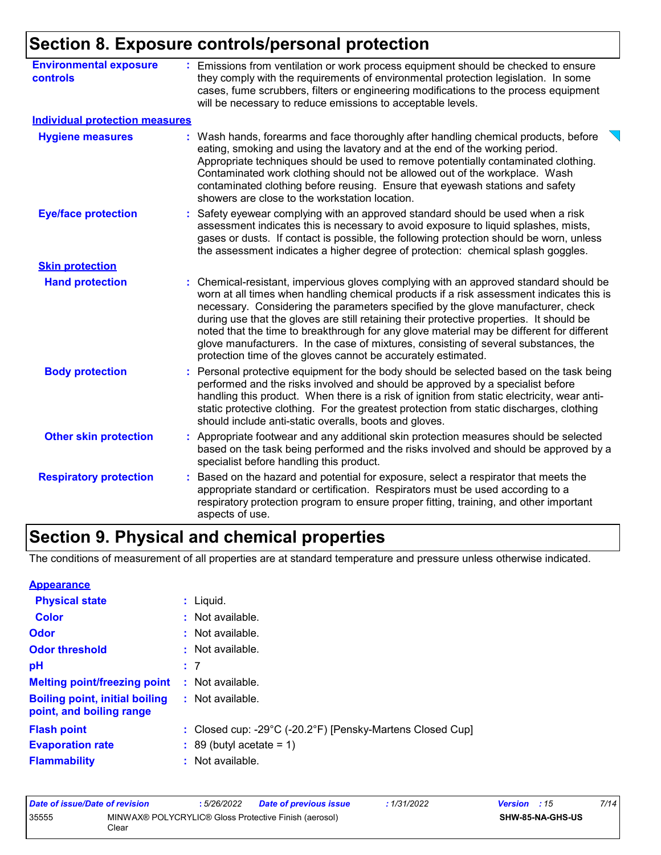# **Section 8. Exposure controls/personal protection**

| <b>Environmental exposure</b><br>controls | Emissions from ventilation or work process equipment should be checked to ensure<br>they comply with the requirements of environmental protection legislation. In some<br>cases, fume scrubbers, filters or engineering modifications to the process equipment<br>will be necessary to reduce emissions to acceptable levels.                                                                                                                                                                                                                                                                                        |
|-------------------------------------------|----------------------------------------------------------------------------------------------------------------------------------------------------------------------------------------------------------------------------------------------------------------------------------------------------------------------------------------------------------------------------------------------------------------------------------------------------------------------------------------------------------------------------------------------------------------------------------------------------------------------|
| <b>Individual protection measures</b>     |                                                                                                                                                                                                                                                                                                                                                                                                                                                                                                                                                                                                                      |
| <b>Hygiene measures</b>                   | Wash hands, forearms and face thoroughly after handling chemical products, before<br>eating, smoking and using the lavatory and at the end of the working period.<br>Appropriate techniques should be used to remove potentially contaminated clothing.<br>Contaminated work clothing should not be allowed out of the workplace. Wash<br>contaminated clothing before reusing. Ensure that eyewash stations and safety<br>showers are close to the workstation location.                                                                                                                                            |
| <b>Eye/face protection</b>                | Safety eyewear complying with an approved standard should be used when a risk<br>assessment indicates this is necessary to avoid exposure to liquid splashes, mists,<br>gases or dusts. If contact is possible, the following protection should be worn, unless<br>the assessment indicates a higher degree of protection: chemical splash goggles.                                                                                                                                                                                                                                                                  |
| <b>Skin protection</b>                    |                                                                                                                                                                                                                                                                                                                                                                                                                                                                                                                                                                                                                      |
| <b>Hand protection</b>                    | Chemical-resistant, impervious gloves complying with an approved standard should be<br>worn at all times when handling chemical products if a risk assessment indicates this is<br>necessary. Considering the parameters specified by the glove manufacturer, check<br>during use that the gloves are still retaining their protective properties. It should be<br>noted that the time to breakthrough for any glove material may be different for different<br>glove manufacturers. In the case of mixtures, consisting of several substances, the<br>protection time of the gloves cannot be accurately estimated. |
| <b>Body protection</b>                    | Personal protective equipment for the body should be selected based on the task being<br>performed and the risks involved and should be approved by a specialist before<br>handling this product. When there is a risk of ignition from static electricity, wear anti-<br>static protective clothing. For the greatest protection from static discharges, clothing<br>should include anti-static overalls, boots and gloves.                                                                                                                                                                                         |
| <b>Other skin protection</b>              | : Appropriate footwear and any additional skin protection measures should be selected<br>based on the task being performed and the risks involved and should be approved by a<br>specialist before handling this product.                                                                                                                                                                                                                                                                                                                                                                                            |
| <b>Respiratory protection</b>             | Based on the hazard and potential for exposure, select a respirator that meets the<br>appropriate standard or certification. Respirators must be used according to a<br>respiratory protection program to ensure proper fitting, training, and other important<br>aspects of use.                                                                                                                                                                                                                                                                                                                                    |

# **Section 9. Physical and chemical properties**

The conditions of measurement of all properties are at standard temperature and pressure unless otherwise indicated.

| <b>Appearance</b>                                                 |                                                           |
|-------------------------------------------------------------------|-----------------------------------------------------------|
| <b>Physical state</b>                                             | $:$ Liquid.                                               |
| <b>Color</b>                                                      | : Not available.                                          |
| Odor                                                              | : Not available.                                          |
| <b>Odor threshold</b>                                             | $\cdot$ Not available.                                    |
| pH                                                                | :7                                                        |
| <b>Melting point/freezing point</b>                               | : Not available.                                          |
| <b>Boiling point, initial boiling</b><br>point, and boiling range | : Not available.                                          |
| <b>Flash point</b>                                                | : Closed cup: -29°C (-20.2°F) [Pensky-Martens Closed Cup] |
| <b>Evaporation rate</b>                                           | $\colon$ 89 (butyl acetate = 1)                           |
| <b>Flammability</b>                                               | : Not available.                                          |

| Date of issue/Date of revision |                                                                | 5/26/2022. | <b>Date of previous issue</b> | : 1/31/2022 | <b>Version</b> : 15 |                  | 7/14 |
|--------------------------------|----------------------------------------------------------------|------------|-------------------------------|-------------|---------------------|------------------|------|
| 35555                          | MINWAX® POLYCRYLIC® Gloss Protective Finish (aerosol)<br>Clear |            |                               |             |                     | SHW-85-NA-GHS-US |      |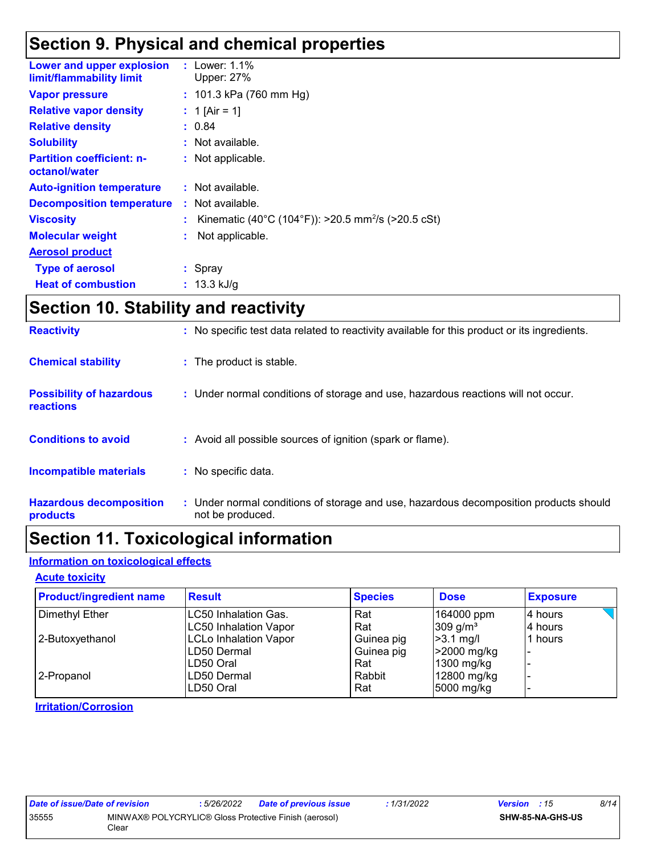# **Section 9. Physical and chemical properties**

| Lower and upper explosion<br>limit/flammability limit | : Lower: $1.1\%$<br>Upper: 27%                                 |
|-------------------------------------------------------|----------------------------------------------------------------|
| <b>Vapor pressure</b>                                 | : 101.3 kPa (760 mm Hg)                                        |
| <b>Relative vapor density</b>                         | : 1 [Air = 1]                                                  |
| <b>Relative density</b>                               | : 0.84                                                         |
| <b>Solubility</b>                                     | : Not available.                                               |
| <b>Partition coefficient: n-</b><br>octanol/water     | : Not applicable.                                              |
| <b>Auto-ignition temperature</b>                      | : Not available.                                               |
| <b>Decomposition temperature</b>                      | : Not available.                                               |
| <b>Viscosity</b>                                      | Kinematic (40°C (104°F)): >20.5 mm <sup>2</sup> /s (>20.5 cSt) |
| <b>Molecular weight</b>                               | Not applicable.                                                |
| <b>Aerosol product</b>                                |                                                                |
| <b>Type of aerosol</b>                                | $:$ Spray                                                      |
| <b>Heat of combustion</b>                             | : $13.3 \text{ kJ/g}$                                          |
|                                                       |                                                                |

# **Section 10. Stability and reactivity**

| <b>Hazardous decomposition</b><br>products          | : Under normal conditions of storage and use, hazardous decomposition products should<br>not be produced. |
|-----------------------------------------------------|-----------------------------------------------------------------------------------------------------------|
| <b>Incompatible materials</b>                       | : No specific data.                                                                                       |
| <b>Conditions to avoid</b>                          | : Avoid all possible sources of ignition (spark or flame).                                                |
| <b>Possibility of hazardous</b><br><b>reactions</b> | : Under normal conditions of storage and use, hazardous reactions will not occur.                         |
| <b>Chemical stability</b>                           | : The product is stable.                                                                                  |
| <b>Reactivity</b>                                   | : No specific test data related to reactivity available for this product or its ingredients.              |

# **Section 11. Toxicological information**

### **Information on toxicological effects**

### **Acute toxicity**

| <b>Product/ingredient name</b> | <b>Result</b>                | <b>Species</b> | <b>Dose</b>            | <b>Exposure</b> |
|--------------------------------|------------------------------|----------------|------------------------|-----------------|
| Dimethyl Ether                 | <b>ILC50 Inhalation Gas.</b> | Rat            | 164000 ppm             | 4 hours         |
|                                | <b>LC50 Inhalation Vapor</b> | Rat            | $309$ g/m <sup>3</sup> | 4 hours         |
| 2-Butoxyethanol                | <b>LCLo Inhalation Vapor</b> | Guinea pig     | $>3.1$ mg/l            | 1 hours         |
|                                | LD50 Dermal                  | Guinea pig     | >2000 mg/kg            |                 |
|                                | ILD50 Oral                   | Rat            | 1300 mg/kg             |                 |
| 2-Propanol                     | ILD50 Dermal                 | Rabbit         | 12800 mg/kg            |                 |
|                                | ILD50 Oral                   | Rat            | 5000 mg/kg             |                 |

### **Irritation/Corrosion**

| Date of issue/Date of revision |                                                                | : 5/26/2022 | Date of previous issue | : 1/31/2022             | <b>Version</b> : 15 | 8/14 |
|--------------------------------|----------------------------------------------------------------|-------------|------------------------|-------------------------|---------------------|------|
| 35555                          | MINWAX® POLYCRYLIC® Gloss Protective Finish (aerosol)<br>Clear |             |                        | <b>SHW-85-NA-GHS-US</b> |                     |      |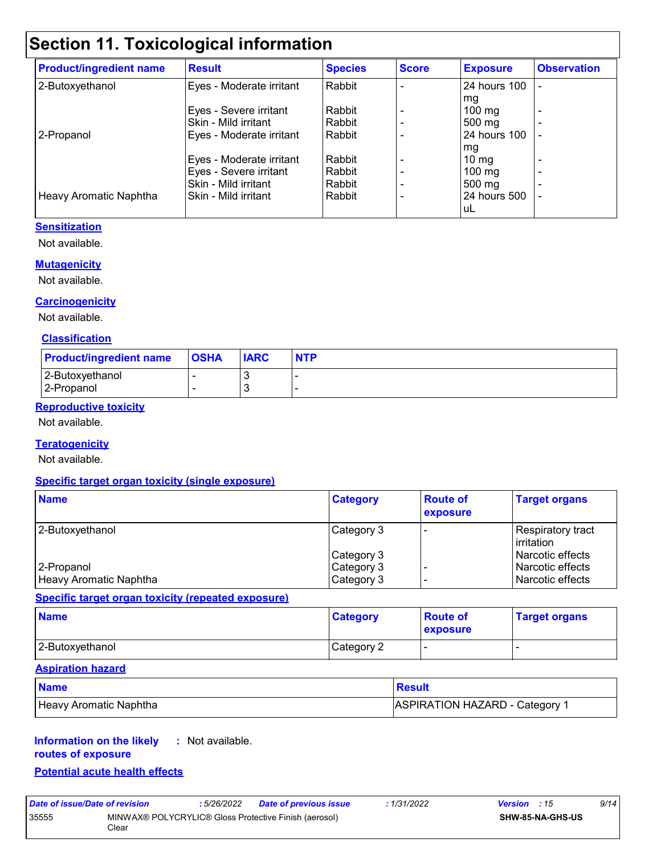# **Section 11. Toxicological information**

| <b>Product/ingredient name</b> | <b>Result</b>            | <b>Species</b> | <b>Score</b> | <b>Exposure</b>  | <b>Observation</b>       |
|--------------------------------|--------------------------|----------------|--------------|------------------|--------------------------|
| 2-Butoxyethanol                | Eyes - Moderate irritant | Rabbit         |              | 24 hours 100     |                          |
|                                |                          |                |              | mg               |                          |
|                                | Eyes - Severe irritant   | Rabbit         |              | $100 \text{ mg}$ | $\overline{\phantom{0}}$ |
|                                | Skin - Mild irritant     | Rabbit         |              | 500 mg           |                          |
| 2-Propanol                     | Eyes - Moderate irritant | Rabbit         |              | 24 hours 100     |                          |
|                                |                          |                |              | mg               |                          |
|                                | Eyes - Moderate irritant | Rabbit         |              | $10 \text{ mg}$  |                          |
|                                | Eyes - Severe irritant   | Rabbit         |              | $100 \text{ mg}$ |                          |
|                                | Skin - Mild irritant     | Rabbit         |              | $500 \text{ mg}$ |                          |
| Heavy Aromatic Naphtha         | Skin - Mild irritant     | Rabbit         |              | 24 hours 500     |                          |
|                                |                          |                |              | l uL             |                          |

### **Sensitization**

Not available.

#### **Mutagenicity**

Not available.

#### **Carcinogenicity**

Not available.

#### **Classification**

| <b>Product/ingredient name</b> | <b>OSHA</b> | <b>IARC</b> | <b>NTP</b> |
|--------------------------------|-------------|-------------|------------|
| 2-Butoxyethanol<br>2-Propanol  |             |             |            |

### **Reproductive toxicity**

Not available.

#### **Teratogenicity**

Not available.

#### **Specific target organ toxicity (single exposure)**

| <b>Name</b>            | <b>Category</b> | <b>Route of</b><br>exposure | <b>Target organs</b>               |
|------------------------|-----------------|-----------------------------|------------------------------------|
| 2-Butoxyethanol        | Category 3      |                             | Respiratory tract<br>l irritation. |
|                        | Category 3      |                             | l Narcotic effects                 |
| 2-Propanol             | Category 3      |                             | l Narcotic effects                 |
| Heavy Aromatic Naphtha | Category 3      |                             | l Narcotic effects                 |

#### **Specific target organ toxicity (repeated exposure)**

| <b>Name</b>     | <b>Category</b> | <b>Route of</b><br><b>exposure</b> | <b>Target organs</b> |
|-----------------|-----------------|------------------------------------|----------------------|
| 2-Butoxyethanol | Category 2      |                                    |                      |

#### **Aspiration hazard**

| <b>Name</b>            | Result                                |
|------------------------|---------------------------------------|
| Heavy Aromatic Naphtha | <b>ASPIRATION HAZARD - Category 1</b> |

#### **Information on the likely :** Not available.

### **routes of exposure**

### **Potential acute health effects**

| Date of issue/Date of revision |                                                                | : 5/26/2022 | <b>Date of previous issue</b> | : 1/31/2022 | <b>Version</b> : 15 |                         | 9/14 |
|--------------------------------|----------------------------------------------------------------|-------------|-------------------------------|-------------|---------------------|-------------------------|------|
| 35555                          | MINWAX® POLYCRYLIC® Gloss Protective Finish (aerosol)<br>Clear |             |                               |             |                     | <b>SHW-85-NA-GHS-US</b> |      |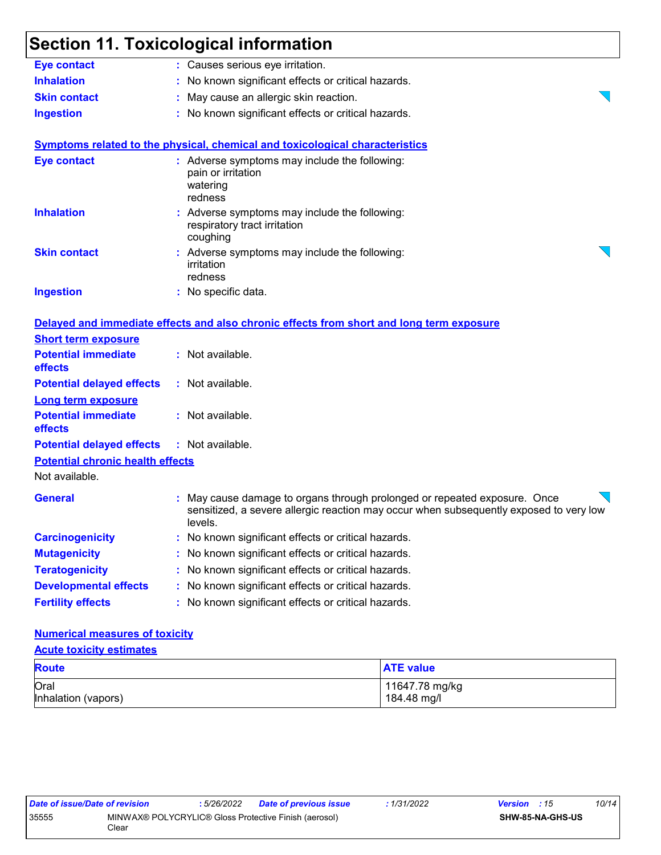|                                         | <b>Section 11. Toxicological information</b>                                                                                                                                 |
|-----------------------------------------|------------------------------------------------------------------------------------------------------------------------------------------------------------------------------|
| <b>Eye contact</b>                      | : Causes serious eye irritation.                                                                                                                                             |
| <b>Inhalation</b>                       | No known significant effects or critical hazards.                                                                                                                            |
| <b>Skin contact</b>                     | May cause an allergic skin reaction.                                                                                                                                         |
| <b>Ingestion</b>                        | No known significant effects or critical hazards.                                                                                                                            |
|                                         | Symptoms related to the physical, chemical and toxicological characteristics                                                                                                 |
| <b>Eye contact</b>                      | : Adverse symptoms may include the following:<br>pain or irritation<br>watering<br>redness                                                                                   |
| <b>Inhalation</b>                       | : Adverse symptoms may include the following:<br>respiratory tract irritation<br>coughing                                                                                    |
| <b>Skin contact</b>                     | Adverse symptoms may include the following:<br>irritation<br>redness                                                                                                         |
| <b>Ingestion</b>                        | : No specific data.                                                                                                                                                          |
|                                         | Delayed and immediate effects and also chronic effects from short and long term exposure                                                                                     |
| <b>Short term exposure</b>              |                                                                                                                                                                              |
| <b>Potential immediate</b><br>effects   | : Not available.                                                                                                                                                             |
| <b>Potential delayed effects</b>        | : Not available.                                                                                                                                                             |
| <b>Long term exposure</b>               |                                                                                                                                                                              |
| <b>Potential immediate</b><br>effects   | : Not available.                                                                                                                                                             |
| <b>Potential delayed effects</b>        | : Not available.                                                                                                                                                             |
| <b>Potential chronic health effects</b> |                                                                                                                                                                              |
| Not available.                          |                                                                                                                                                                              |
| <b>General</b>                          | May cause damage to organs through prolonged or repeated exposure. Once<br>sensitized, a severe allergic reaction may occur when subsequently exposed to very low<br>levels. |
| <b>Carcinogenicity</b>                  | No known significant effects or critical hazards.                                                                                                                            |
| <b>Mutagenicity</b>                     | No known significant effects or critical hazards.                                                                                                                            |
| <b>Teratogenicity</b>                   | No known significant effects or critical hazards.                                                                                                                            |
| <b>Developmental effects</b>            | No known significant effects or critical hazards.                                                                                                                            |
| <b>Fertility effects</b>                | No known significant effects or critical hazards.                                                                                                                            |

### **Numerical measures of toxicity**

### **Acute toxicity estimates**

| <b>Route</b>        | <b>ATE value</b> |
|---------------------|------------------|
| Oral                | 11647.78 mg/kg   |
| Inhalation (vapors) | 184.48 mg/l      |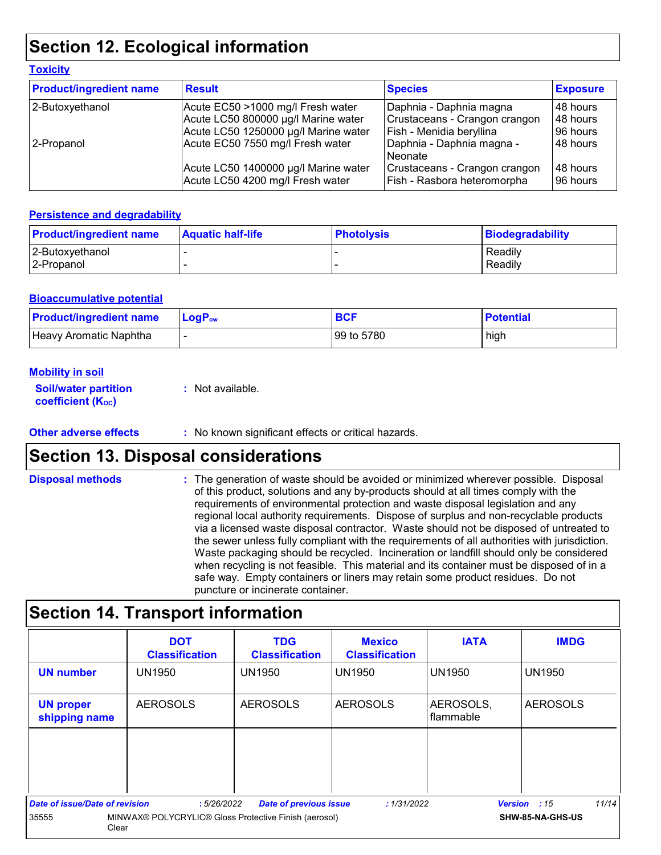# **Section 12. Ecological information**

| <b>Product/ingredient name</b> | <b>Result</b>                                                            | <b>Species</b>                                               | <b>Exposure</b>       |
|--------------------------------|--------------------------------------------------------------------------|--------------------------------------------------------------|-----------------------|
| 2-Butoxyethanol                | Acute EC50 >1000 mg/l Fresh water                                        | Daphnia - Daphnia magna                                      | 48 hours              |
|                                | Acute LC50 800000 µg/l Marine water                                      | Crustaceans - Crangon crangon                                | 48 hours              |
|                                | Acute LC50 1250000 µg/l Marine water                                     | Fish - Menidia beryllina                                     | 96 hours              |
| 2-Propanol                     | Acute EC50 7550 mg/l Fresh water                                         | Daphnia - Daphnia magna -<br>Neonate                         | 48 hours              |
|                                | Acute LC50 1400000 µg/l Marine water<br>Acute LC50 4200 mg/l Fresh water | Crustaceans - Crangon crangon<br>Fish - Rasbora heteromorpha | 148 hours<br>96 hours |

#### **Persistence and degradability**

| <b>Product/ingredient name</b> | <b>Aquatic half-life</b> | <b>Photolysis</b> | Biodegradability |
|--------------------------------|--------------------------|-------------------|------------------|
| 2-Butoxyethanol                |                          |                   | Readily          |
| 2-Propanol                     |                          |                   | Readily          |

#### **Bioaccumulative potential**

| <b>Product/ingredient name</b> | $LoaPow$ | <b>BCF</b> | <b>Potential</b> |
|--------------------------------|----------|------------|------------------|
| Heavy Aromatic Naphtha         |          | 99 to 5780 | high             |

#### **Mobility in soil**

**Toxicity**

| <b>Soil/water partition</b> | : Not available. |
|-----------------------------|------------------|
| <b>coefficient (Koc)</b>    |                  |

**Other adverse effects** : No known significant effects or critical hazards.

## **Section 13. Disposal considerations**

The generation of waste should be avoided or minimized wherever possible. Disposal of this product, solutions and any by-products should at all times comply with the requirements of environmental protection and waste disposal legislation and any regional local authority requirements. Dispose of surplus and non-recyclable products via a licensed waste disposal contractor. Waste should not be disposed of untreated to the sewer unless fully compliant with the requirements of all authorities with jurisdiction. Waste packaging should be recycled. Incineration or landfill should only be considered when recycling is not feasible. This material and its container must be disposed of in a safe way. Empty containers or liners may retain some product residues. Do not puncture or incinerate container. **Disposal methods :**

## **Section 14. Transport information**

|                                   | <b>DOT</b><br><b>Classification</b>                            | <b>TDG</b><br><b>Classification</b> | <b>Mexico</b><br><b>Classification</b> | <b>IATA</b>            | <b>IMDG</b>           |
|-----------------------------------|----------------------------------------------------------------|-------------------------------------|----------------------------------------|------------------------|-----------------------|
| <b>UN number</b>                  | <b>UN1950</b>                                                  | <b>UN1950</b>                       | l UN1950                               | <b>UN1950</b>          | <b>UN1950</b>         |
| <b>UN proper</b><br>shipping name | <b>AEROSOLS</b>                                                | <b>AEROSOLS</b>                     | <b>AEROSOLS</b>                        | AEROSOLS,<br>flammable | <b>AEROSOLS</b>       |
|                                   |                                                                |                                     |                                        |                        |                       |
|                                   |                                                                |                                     |                                        |                        |                       |
| Date of issue/Date of revision    | :5/26/2022                                                     | <b>Date of previous issue</b>       | : 1/31/2022                            |                        | 11/14<br>Version : 15 |
| 35555                             | MINWAX® POLYCRYLIC® Gloss Protective Finish (aerosol)<br>Clear |                                     |                                        |                        | SHW-85-NA-GHS-US      |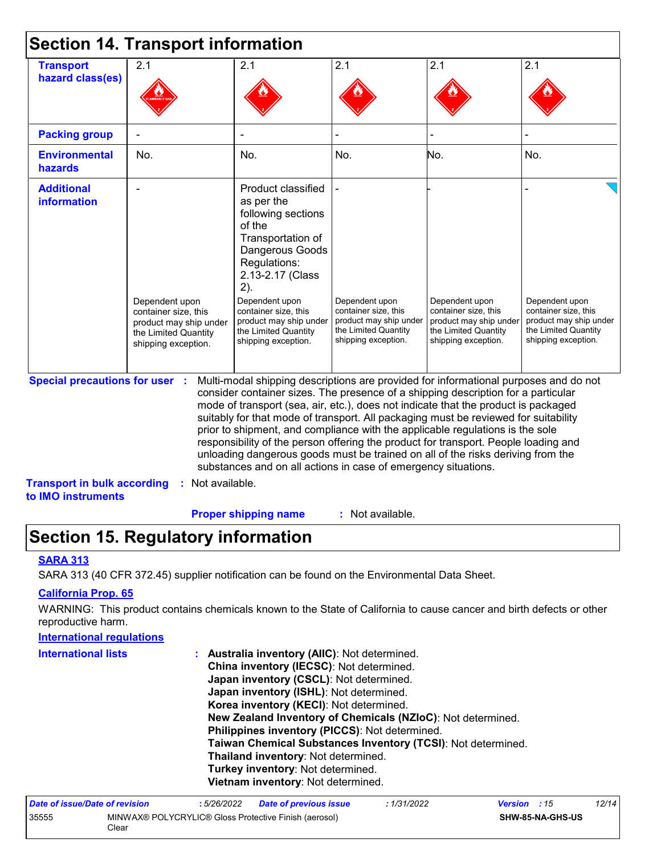|                                                                             | <b>Section 14. Transport information</b>                                                                        |                                                                                                                                                                                                                                                                                                                                                                                                                                                                                                                                                                                                                                                                                     |                                                                                                                 |                                                                                                                 |                                                                                                                 |
|-----------------------------------------------------------------------------|-----------------------------------------------------------------------------------------------------------------|-------------------------------------------------------------------------------------------------------------------------------------------------------------------------------------------------------------------------------------------------------------------------------------------------------------------------------------------------------------------------------------------------------------------------------------------------------------------------------------------------------------------------------------------------------------------------------------------------------------------------------------------------------------------------------------|-----------------------------------------------------------------------------------------------------------------|-----------------------------------------------------------------------------------------------------------------|-----------------------------------------------------------------------------------------------------------------|
| <b>Transport</b><br>hazard class(es)                                        | 2.1                                                                                                             | 2.1                                                                                                                                                                                                                                                                                                                                                                                                                                                                                                                                                                                                                                                                                 | 2.1                                                                                                             | 2.1                                                                                                             | 2.1                                                                                                             |
| <b>Packing group</b>                                                        |                                                                                                                 |                                                                                                                                                                                                                                                                                                                                                                                                                                                                                                                                                                                                                                                                                     |                                                                                                                 |                                                                                                                 |                                                                                                                 |
| <b>Environmental</b><br>hazards                                             | No.                                                                                                             | No.                                                                                                                                                                                                                                                                                                                                                                                                                                                                                                                                                                                                                                                                                 | No.                                                                                                             | No.                                                                                                             | No.                                                                                                             |
| <b>Additional</b><br><b>information</b>                                     | Dependent upon<br>container size, this<br>product may ship under<br>the Limited Quantity<br>shipping exception. | Product classified<br>as per the<br>following sections<br>of the<br>Transportation of<br>Dangerous Goods<br>Regulations:<br>2.13-2.17 (Class<br>2).<br>Dependent upon<br>container size, this<br>product may ship under<br>the Limited Quantity<br>shipping exception.                                                                                                                                                                                                                                                                                                                                                                                                              | Dependent upon<br>container size, this<br>product may ship under<br>the Limited Quantity<br>shipping exception. | Dependent upon<br>container size, this<br>product may ship under<br>the Limited Quantity<br>shipping exception. | Dependent upon<br>container size, this<br>product may ship under<br>the Limited Quantity<br>shipping exception. |
| <b>Special precautions for user :</b><br><b>Transport in bulk according</b> | Not available.<br>÷.                                                                                            | Multi-modal shipping descriptions are provided for informational purposes and do not<br>consider container sizes. The presence of a shipping description for a particular<br>mode of transport (sea, air, etc.), does not indicate that the product is packaged<br>suitably for that mode of transport. All packaging must be reviewed for suitability<br>prior to shipment, and compliance with the applicable regulations is the sole<br>responsibility of the person offering the product for transport. People loading and<br>unloading dangerous goods must be trained on all of the risks deriving from the<br>substances and on all actions in case of emergency situations. |                                                                                                                 |                                                                                                                 |                                                                                                                 |
| to IMO instruments                                                          |                                                                                                                 | <b>Proper shipping name</b>                                                                                                                                                                                                                                                                                                                                                                                                                                                                                                                                                                                                                                                         | : Not available.                                                                                                |                                                                                                                 |                                                                                                                 |

# **Section 15. Regulatory information**

### **SARA 313**

SARA 313 (40 CFR 372.45) supplier notification can be found on the Environmental Data Sheet.

### **California Prop. 65**

WARNING: This product contains chemicals known to the State of California to cause cancer and birth defects or other reproductive harm.

#### **International regulations**

| <b>International lists</b> | Australia inventory (AIIC): Not determined.<br>÷.<br>China inventory (IECSC): Not determined.<br>Japan inventory (CSCL): Not determined.<br>Japan inventory (ISHL): Not determined.<br>Korea inventory (KECI): Not determined. |
|----------------------------|--------------------------------------------------------------------------------------------------------------------------------------------------------------------------------------------------------------------------------|
|                            | New Zealand Inventory of Chemicals (NZIoC): Not determined.                                                                                                                                                                    |
|                            | Philippines inventory (PICCS): Not determined.                                                                                                                                                                                 |
|                            | Taiwan Chemical Substances Inventory (TCSI): Not determined.                                                                                                                                                                   |
|                            | Thailand inventory: Not determined.                                                                                                                                                                                            |
|                            | Turkey inventory: Not determined.                                                                                                                                                                                              |
|                            | Vietnam inventory: Not determined.                                                                                                                                                                                             |

| Date of issue/Date of revision |                                                                | : 5/26/2022 | <b>Date of previous issue</b> | : 1/31/2022 | <b>Version</b> : 15 |                         | 12/14 |
|--------------------------------|----------------------------------------------------------------|-------------|-------------------------------|-------------|---------------------|-------------------------|-------|
| 35555                          | MINWAX® POLYCRYLIC® Gloss Protective Finish (aerosol)<br>Clear |             |                               |             |                     | <b>SHW-85-NA-GHS-US</b> |       |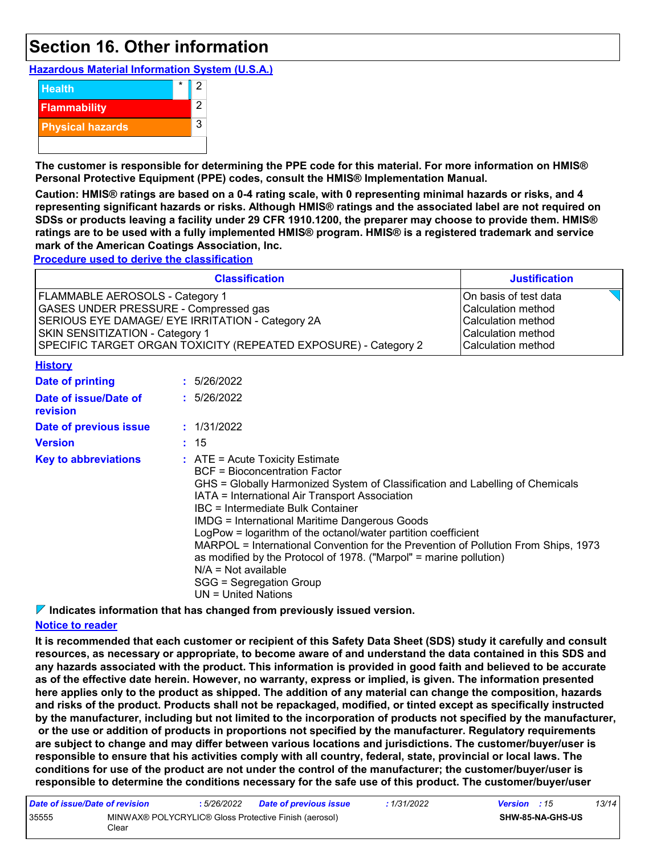## **Section 16. Other information**

**Hazardous Material Information System (U.S.A.)**



**The customer is responsible for determining the PPE code for this material. For more information on HMIS® Personal Protective Equipment (PPE) codes, consult the HMIS® Implementation Manual.**

**Caution: HMIS® ratings are based on a 0-4 rating scale, with 0 representing minimal hazards or risks, and 4 representing significant hazards or risks. Although HMIS® ratings and the associated label are not required on SDSs or products leaving a facility under 29 CFR 1910.1200, the preparer may choose to provide them. HMIS® ratings are to be used with a fully implemented HMIS® program. HMIS® is a registered trademark and service mark of the American Coatings Association, Inc.**

**Procedure used to derive the classification**

|                                                                                                                                                                                                                                    |  | <b>Classification</b>                                                                                                                                                                                                                                                                                                                                                                                                                                                                                                                                                                                               | <b>Justification</b>                                                                                                 |  |
|------------------------------------------------------------------------------------------------------------------------------------------------------------------------------------------------------------------------------------|--|---------------------------------------------------------------------------------------------------------------------------------------------------------------------------------------------------------------------------------------------------------------------------------------------------------------------------------------------------------------------------------------------------------------------------------------------------------------------------------------------------------------------------------------------------------------------------------------------------------------------|----------------------------------------------------------------------------------------------------------------------|--|
| FLAMMABLE AEROSOLS - Category 1<br>GASES UNDER PRESSURE - Compressed gas<br>SERIOUS EYE DAMAGE/ EYE IRRITATION - Category 2A<br>SKIN SENSITIZATION - Category 1<br>SPECIFIC TARGET ORGAN TOXICITY (REPEATED EXPOSURE) - Category 2 |  |                                                                                                                                                                                                                                                                                                                                                                                                                                                                                                                                                                                                                     | On basis of test data<br>Calculation method<br>Calculation method<br><b>Calculation method</b><br>Calculation method |  |
| <b>History</b>                                                                                                                                                                                                                     |  |                                                                                                                                                                                                                                                                                                                                                                                                                                                                                                                                                                                                                     |                                                                                                                      |  |
| <b>Date of printing</b>                                                                                                                                                                                                            |  | : 5/26/2022                                                                                                                                                                                                                                                                                                                                                                                                                                                                                                                                                                                                         |                                                                                                                      |  |
| Date of issue/Date of<br>revision                                                                                                                                                                                                  |  | : 5/26/2022                                                                                                                                                                                                                                                                                                                                                                                                                                                                                                                                                                                                         |                                                                                                                      |  |
| Date of previous issue                                                                                                                                                                                                             |  | : 1/31/2022                                                                                                                                                                                                                                                                                                                                                                                                                                                                                                                                                                                                         |                                                                                                                      |  |
| <b>Version</b>                                                                                                                                                                                                                     |  | : 15                                                                                                                                                                                                                                                                                                                                                                                                                                                                                                                                                                                                                |                                                                                                                      |  |
| <b>Key to abbreviations</b>                                                                                                                                                                                                        |  | $:$ ATE = Acute Toxicity Estimate<br><b>BCF</b> = Bioconcentration Factor<br>GHS = Globally Harmonized System of Classification and Labelling of Chemicals<br>IATA = International Air Transport Association<br>IBC = Intermediate Bulk Container<br><b>IMDG = International Maritime Dangerous Goods</b><br>LogPow = logarithm of the octanol/water partition coefficient<br>MARPOL = International Convention for the Prevention of Pollution From Ships, 1973<br>as modified by the Protocol of 1978. ("Marpol" = marine pollution)<br>$N/A = Not available$<br>SGG = Segregation Group<br>$UN = United Nations$ |                                                                                                                      |  |

**Indicates information that has changed from previously issued version.**

### **Notice to reader**

**It is recommended that each customer or recipient of this Safety Data Sheet (SDS) study it carefully and consult resources, as necessary or appropriate, to become aware of and understand the data contained in this SDS and any hazards associated with the product. This information is provided in good faith and believed to be accurate as of the effective date herein. However, no warranty, express or implied, is given. The information presented here applies only to the product as shipped. The addition of any material can change the composition, hazards and risks of the product. Products shall not be repackaged, modified, or tinted except as specifically instructed by the manufacturer, including but not limited to the incorporation of products not specified by the manufacturer, or the use or addition of products in proportions not specified by the manufacturer. Regulatory requirements are subject to change and may differ between various locations and jurisdictions. The customer/buyer/user is responsible to ensure that his activities comply with all country, federal, state, provincial or local laws. The conditions for use of the product are not under the control of the manufacturer; the customer/buyer/user is responsible to determine the conditions necessary for the safe use of this product. The customer/buyer/user** 

| Date of issue/Date of revision |                                                                | : 5/26/2022 | Date of previous issue | : 1/31/2022 | <b>Version</b> : 15 |                         | 13/14 |
|--------------------------------|----------------------------------------------------------------|-------------|------------------------|-------------|---------------------|-------------------------|-------|
| 35555                          | MINWAX® POLYCRYLIC® Gloss Protective Finish (aerosol)<br>Clear |             |                        |             |                     | <b>SHW-85-NA-GHS-US</b> |       |